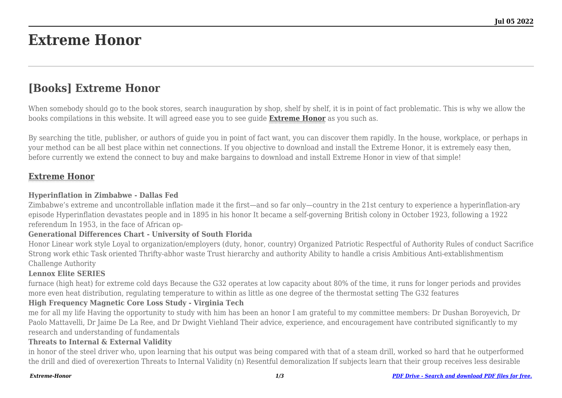# **Extreme Honor**

# **[Books] Extreme Honor**

When somebody should go to the book stores, search inauguration by shop, shelf by shelf, it is in point of fact problematic. This is why we allow the books compilations in this website. It will agreed ease you to see guide **[Extreme Honor](http://jessicaberan.com)** as you such as.

By searching the title, publisher, or authors of guide you in point of fact want, you can discover them rapidly. In the house, workplace, or perhaps in your method can be all best place within net connections. If you objective to download and install the Extreme Honor, it is extremely easy then, before currently we extend the connect to buy and make bargains to download and install Extreme Honor in view of that simple!

# **[Extreme Honor](http://jessicaberan.com/Extreme-Honor.pdf)**

#### **Hyperinflation in Zimbabwe - Dallas Fed**

Zimbabwe's extreme and uncontrollable inflation made it the first—and so far only—country in the 21st century to experience a hyperinflation-ary episode Hyperinflation devastates people and in 1895 in his honor It became a self-governing British colony in October 1923, following a 1922 referendum In 1953, in the face of African op-

# **Generational Differences Chart - University of South Florida**

Honor Linear work style Loyal to organization/employers (duty, honor, country) Organized Patriotic Respectful of Authority Rules of conduct Sacrifice Strong work ethic Task oriented Thrifty-abhor waste Trust hierarchy and authority Ability to handle a crisis Ambitious Anti-extablishmentism Challenge Authority

#### **Lennox Elite SERIES**

furnace (high heat) for extreme cold days Because the G32 operates at low capacity about 80% of the time, it runs for longer periods and provides more even heat distribution, regulating temperature to within as little as one degree of the thermostat setting The G32 features

# **High Frequency Magnetic Core Loss Study - Virginia Tech**

me for all my life Having the opportunity to study with him has been an honor I am grateful to my committee members: Dr Dushan Boroyevich, Dr Paolo Mattavelli, Dr Jaime De La Ree, and Dr Dwight Viehland Their advice, experience, and encouragement have contributed significantly to my research and understanding of fundamentals

#### **Threats to Internal & External Validity**

in honor of the steel driver who, upon learning that his output was being compared with that of a steam drill, worked so hard that he outperformed the drill and died of overexertion Threats to Internal Validity (n) Resentful demoralization If subjects learn that their group receives less desirable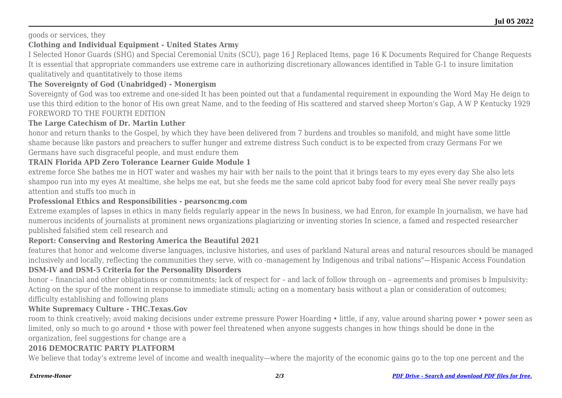#### goods or services, they

# **Clothing and Individual Equipment - United States Army**

I Selected Honor Guards (SHG) and Special Ceremonial Units (SCU), page 16 J Replaced Items, page 16 K Documents Required for Change Requests It is essential that appropriate commanders use extreme care in authorizing discretionary allowances identified in Table G-1 to insure limitation qualitatively and quantitatively to those items

# **The Sovereignty of God (Unabridged) - Monergism**

Sovereignty of God was too extreme and one-sided It has been pointed out that a fundamental requirement in expounding the Word May He deign to use this third edition to the honor of His own great Name, and to the feeding of His scattered and starved sheep Morton's Gap, A W P Kentucky 1929 FOREWORD TO THE FOURTH EDITION

#### **The Large Catechism of Dr. Martin Luther**

honor and return thanks to the Gospel, by which they have been delivered from 7 burdens and troubles so manifold, and might have some little shame because like pastors and preachers to suffer hunger and extreme distress Such conduct is to be expected from crazy Germans For we Germans have such disgraceful people, and must endure them

# **TRAIN Florida APD Zero Tolerance Learner Guide Module 1**

extreme force She bathes me in HOT water and washes my hair with her nails to the point that it brings tears to my eyes every day She also lets shampoo run into my eyes At mealtime, she helps me eat, but she feeds me the same cold apricot baby food for every meal She never really pays attention and stuffs too much in

#### **Professional Ethics and Responsibilities - pearsoncmg.com**

Extreme examples of lapses in ethics in many fields regularly appear in the news In business, we had Enron, for example In journalism, we have had numerous incidents of journalists at prominent news organizations plagiarizing or inventing stories In science, a famed and respected researcher published falsified stem cell research and

# **Report: Conserving and Restoring America the Beautiful 2021**

features that honor and welcome diverse languages, inclusive histories, and uses of parkland Natural areas and natural resources should be managed inclusively and locally, reflecting the communities they serve, with co -management by Indigenous and tribal nations"—Hispanic Access Foundation

# **DSM-IV and DSM-5 Criteria for the Personality Disorders**

honor – financial and other obligations or commitments; lack of respect for – and lack of follow through on – agreements and promises b Impulsivity: Acting on the spur of the moment in response to immediate stimuli; acting on a momentary basis without a plan or consideration of outcomes; difficulty establishing and following plans

# **White Supremacy Culture - THC.Texas.Gov**

room to think creatively; avoid making decisions under extreme pressure Power Hoarding • little, if any, value around sharing power • power seen as limited, only so much to go around • those with power feel threatened when anyone suggests changes in how things should be done in the organization, feel suggestions for change are a

# **2016 DEMOCRATIC PARTY PLATFORM**

We believe that today's extreme level of income and wealth inequality—where the majority of the economic gains go to the top one percent and the